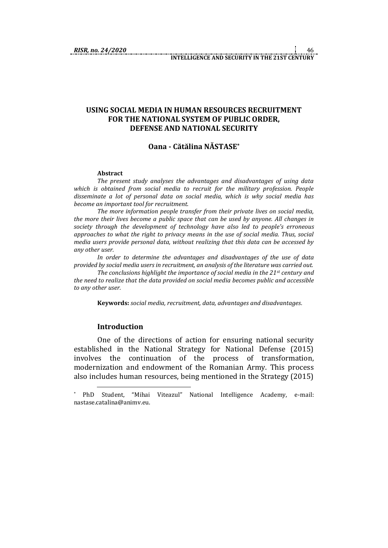# **USING SOCIAL MEDIA IN HUMAN RESOURCES RECRUITMENT FOR THE NATIONAL SYSTEM OF PUBLIC ORDER, DEFENSE AND NATIONAL SECURITY**

### **Oana - Cătălina NĂSTASE\***

#### **Abstract**

*The present study analyses the advantages and disadvantages of using data which is obtained from social media to recruit for the military profession. People disseminate a lot of personal data on social media, which is why social media has become an important tool for recruitment.* 

*The more information people transfer from their private lives on social media, the more their lives become a public space that can be used by anyone. All changes in society through the development of technology have also led to people's erroneous approaches to what the right to privacy means in the use of social media. Thus, social media users provide personal data, without realizing that this data can be accessed by any other user.*

*In order to determine the advantages and disadvantages of the use of data provided by social media users in recruitment, an analysis of the literature was carried out.*

*The conclusions highlight the importance of social media in the 21st century and the need to realize that the data provided on social media becomes public and accessible to any other user.*

**Keywords:** *social media, recruitment, data, advantages and disadvantages.*

#### **Introduction**

1

One of the directions of action for ensuring national security established in the National Strategy for National Defense (2015) involves the continuation of the process of transformation, modernization and endowment of the Romanian Army. This process also includes human resources, being mentioned in the Strategy (2015)

<sup>\*</sup> PhD Student, "Mihai Viteazul" National Intelligence Academy, e-mail: nastase.catalina@animv.eu.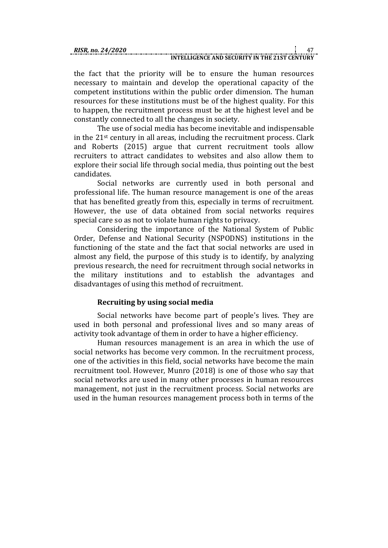the fact that the priority will be to ensure the human resources necessary to maintain and develop the operational capacity of the competent institutions within the public order dimension. The human resources for these institutions must be of the highest quality. For this to happen, the recruitment process must be at the highest level and be constantly connected to all the changes in society.

The use of social media has become inevitable and indispensable in the 21st century in all areas, including the recruitment process. Clark and Roberts (2015) argue that current recruitment tools allow recruiters to attract candidates to websites and also allow them to explore their social life through social media, thus pointing out the best candidates.

Social networks are currently used in both personal and professional life. The human resource management is one of the areas that has benefited greatly from this, especially in terms of recruitment. However, the use of data obtained from social networks requires special care so as not to violate human rights to privacy.

Considering the importance of the National System of Public Order, Defense and National Security (NSPODNS) institutions in the functioning of the state and the fact that social networks are used in almost any field, the purpose of this study is to identify, by analyzing previous research, the need for recruitment through social networks in the military institutions and to establish the advantages and disadvantages of using this method of recruitment.

# **Recruiting by using social media**

Social networks have become part of people's lives. They are used in both personal and professional lives and so many areas of activity took advantage of them in order to have a higher efficiency.

Human resources management is an area in which the use of social networks has become very common. In the recruitment process, one of the activities in this field, social networks have become the main recruitment tool. However, Munro (2018) is one of those who say that social networks are used in many other processes in human resources management, not just in the recruitment process. Social networks are used in the human resources management process both in terms of the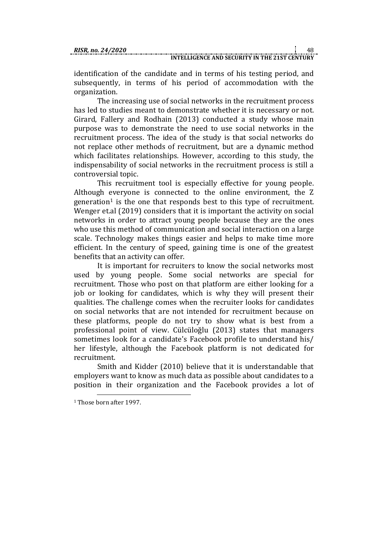identification of the candidate and in terms of his testing period, and subsequently, in terms of his period of accommodation with the organization.

The increasing use of social networks in the recruitment process has led to studies meant to demonstrate whether it is necessary or not. Girard, Fallery and Rodhain (2013) conducted a study whose main purpose was to demonstrate the need to use social networks in the recruitment process. The idea of the study is that social networks do not replace other methods of recruitment, but are a dynamic method which facilitates relationships. However, according to this study, the indispensability of social networks in the recruitment process is still a controversial topic.

This recruitment tool is especially effective for young people. Although everyone is connected to the online environment, the Z generation<sup>1</sup> is the one that responds best to this type of recruitment. Wenger et.al (2019) considers that it is important the activity on social networks in order to attract young people because they are the ones who use this method of communication and social interaction on a large scale. Technology makes things easier and helps to make time more efficient. In the century of speed, gaining time is one of the greatest benefits that an activity can offer.

It is important for recruiters to know the social networks most used by young people. Some social networks are special for recruitment. Those who post on that platform are either looking for a job or looking for candidates, which is why they will present their qualities. The challenge comes when the recruiter looks for candidates on social networks that are not intended for recruitment because on these platforms, people do not try to show what is best from a professional point of view. Cülcüloğlu (2013) states that managers sometimes look for a candidate's Facebook profile to understand his/ her lifestyle, although the Facebook platform is not dedicated for recruitment.

Smith and Kidder (2010) believe that it is understandable that employers want to know as much data as possible about candidates to a position in their organization and the Facebook provides a lot of

<u>.</u>

<sup>1</sup> Those born after 1997.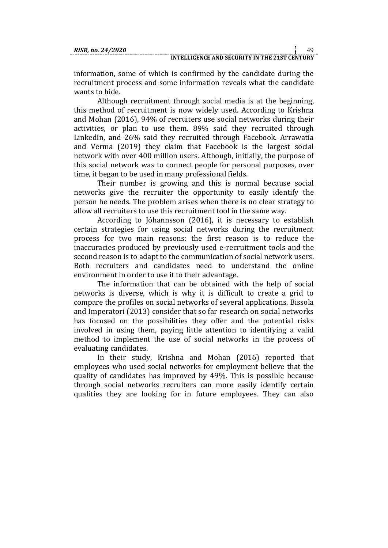information, some of which is confirmed by the candidate during the recruitment process and some information reveals what the candidate wants to hide.

Although recruitment through social media is at the beginning, this method of recruitment is now widely used. According to Krishna and Mohan (2016), 94% of recruiters use social networks during their activities, or plan to use them. 89% said they recruited through LinkedIn, and 26% said they recruited through Facebook. Arrawatia and Verma (2019) they claim that Facebook is the largest social network with over 400 million users. Although, initially, the purpose of this social network was to connect people for personal purposes, over time, it began to be used in many professional fields.

Their number is growing and this is normal because social networks give the recruiter the opportunity to easily identify the person he needs. The problem arises when there is no clear strategy to allow all recruiters to use this recruitment tool in the same way.

According to Jóhannsson (2016), it is necessary to establish certain strategies for using social networks during the recruitment process for two main reasons: the first reason is to reduce the inaccuracies produced by previously used e-recruitment tools and the second reason is to adapt to the communication of social network users. Both recruiters and candidates need to understand the online environment in order to use it to their advantage.

The information that can be obtained with the help of social networks is diverse, which is why it is difficult to create a grid to compare the profiles on social networks of several applications. Bissola and Imperatori (2013) consider that so far research on social networks has focused on the possibilities they offer and the potential risks involved in using them, paying little attention to identifying a valid method to implement the use of social networks in the process of evaluating candidates.

In their study, Krishna and Mohan (2016) reported that employees who used social networks for employment believe that the quality of candidates has improved by 49%. This is possible because through social networks recruiters can more easily identify certain qualities they are looking for in future employees. They can also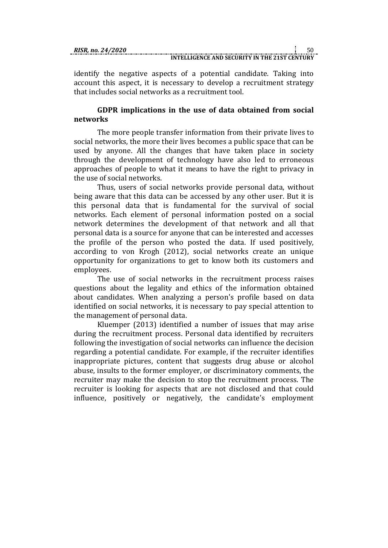identify the negative aspects of a potential candidate. Taking into account this aspect, it is necessary to develop a recruitment strategy that includes social networks as a recruitment tool.

### **GDPR implications in the use of data obtained from social networks**

The more people transfer information from their private lives to social networks, the more their lives becomes a public space that can be used by anyone. All the changes that have taken place in society through the development of technology have also led to erroneous approaches of people to what it means to have the right to privacy in the use of social networks.

Thus, users of social networks provide personal data, without being aware that this data can be accessed by any other user. But it is this personal data that is fundamental for the survival of social networks. Each element of personal information posted on a social network determines the development of that network and all that personal data is a source for anyone that can be interested and accesses the profile of the person who posted the data. If used positively, according to von Krogh (2012), social networks create an unique opportunity for organizations to get to know both its customers and employees.

The use of social networks in the recruitment process raises questions about the legality and ethics of the information obtained about candidates. When analyzing a person's profile based on data identified on social networks, it is necessary to pay special attention to the management of personal data.

Kluemper (2013) identified a number of issues that may arise during the recruitment process. Personal data identified by recruiters following the investigation of social networks can influence the decision regarding a potential candidate. For example, if the recruiter identifies inappropriate pictures, content that suggests drug abuse or alcohol abuse, insults to the former employer, or discriminatory comments, the recruiter may make the decision to stop the recruitment process. The recruiter is looking for aspects that are not disclosed and that could influence, positively or negatively, the candidate's employment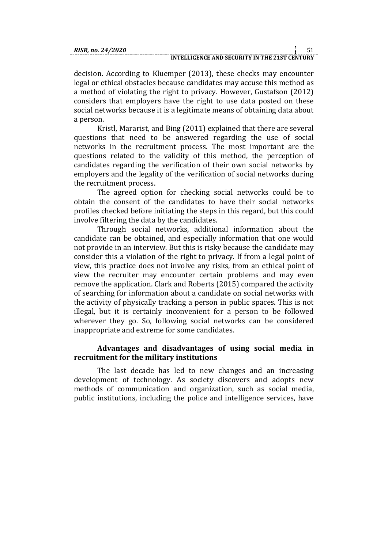decision. According to Kluemper (2013), these checks may encounter legal or ethical obstacles because candidates may accuse this method as a method of violating the right to privacy. However, Gustafson (2012) considers that employers have the right to use data posted on these social networks because it is a legitimate means of obtaining data about a person.

Kristl, Mararist, and Bing (2011) explained that there are several questions that need to be answered regarding the use of social networks in the recruitment process. The most important are the questions related to the validity of this method, the perception of candidates regarding the verification of their own social networks by employers and the legality of the verification of social networks during the recruitment process.

The agreed option for checking social networks could be to obtain the consent of the candidates to have their social networks profiles checked before initiating the steps in this regard, but this could involve filtering the data by the candidates.

Through social networks, additional information about the candidate can be obtained, and especially information that one would not provide in an interview. But this is risky because the candidate may consider this a violation of the right to privacy. If from a legal point of view, this practice does not involve any risks, from an ethical point of view the recruiter may encounter certain problems and may even remove the application. Clark and Roberts (2015) compared the activity of searching for information about a candidate on social networks with the activity of physically tracking a person in public spaces. This is not illegal, but it is certainly inconvenient for a person to be followed wherever they go. So, following social networks can be considered inappropriate and extreme for some candidates.

# **Advantages and disadvantages of using social media in recruitment for the military institutions**

The last decade has led to new changes and an increasing development of technology. As society discovers and adopts new methods of communication and organization, such as social media, public institutions, including the police and intelligence services, have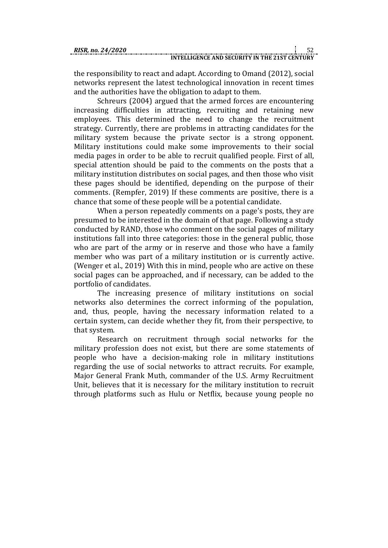the responsibility to react and adapt. According to Omand (2012), social networks represent the latest technological innovation in recent times and the authorities have the obligation to adapt to them.

Schreurs (2004) argued that the armed forces are encountering increasing difficulties in attracting, recruiting and retaining new employees. This determined the need to change the recruitment strategy. Currently, there are problems in attracting candidates for the military system because the private sector is a strong opponent. Military institutions could make some improvements to their social media pages in order to be able to recruit qualified people. First of all, special attention should be paid to the comments on the posts that a military institution distributes on social pages, and then those who visit these pages should be identified, depending on the purpose of their comments. (Rempfer, 2019) If these comments are positive, there is a chance that some of these people will be a potential candidate.

When a person repeatedly comments on a page's posts, they are presumed to be interested in the domain of that page. Following a study conducted by RAND, those who comment on the social pages of military institutions fall into three categories: those in the general public, those who are part of the army or in reserve and those who have a family member who was part of a military institution or is currently active. (Wenger et al., 2019) With this in mind, people who are active on these social pages can be approached, and if necessary, can be added to the portfolio of candidates.

The increasing presence of military institutions on social networks also determines the correct informing of the population, and, thus, people, having the necessary information related to a certain system, can decide whether they fit, from their perspective, to that system.

Research on recruitment through social networks for the military profession does not exist, but there are some statements of people who have a decision-making role in military institutions regarding the use of social networks to attract recruits. For example, Major General Frank Muth, commander of the U.S. Army Recruitment Unit, believes that it is necessary for the military institution to recruit through platforms such as Hulu or Netflix, because young people no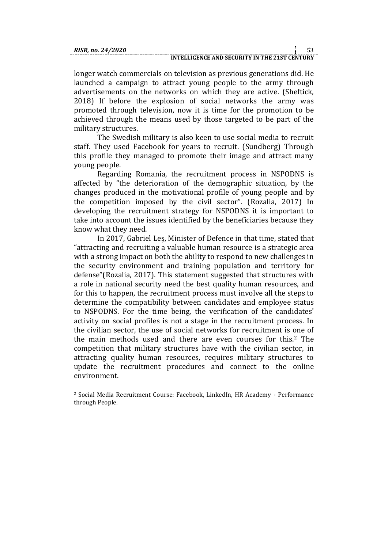1

longer watch commercials on television as previous generations did. He launched a campaign to attract young people to the army through advertisements on the networks on which they are active. (Sheftick, 2018) If before the explosion of social networks the army was promoted through television, now it is time for the promotion to be achieved through the means used by those targeted to be part of the military structures.

The Swedish military is also keen to use social media to recruit staff. They used Facebook for years to recruit. (Sundberg) Through this profile they managed to promote their image and attract many young people.

Regarding Romania, the recruitment process in NSPODNS is affected by "the deterioration of the demographic situation, by the changes produced in the motivational profile of young people and by the competition imposed by the civil sector". (Rozalia, 2017) In developing the recruitment strategy for NSPODNS it is important to take into account the issues identified by the beneficiaries because they know what they need.

In 2017, Gabriel Leș, Minister of Defence in that time, stated that "attracting and recruiting a valuable human resource is a strategic area with a strong impact on both the ability to respond to new challenges in the security environment and training population and territory for defense"(Rozalia, 2017). This statement suggested that structures with a role in national security need the best quality human resources, and for this to happen, the recruitment process must involve all the steps to determine the compatibility between candidates and employee status to NSPODNS. For the time being, the verification of the candidates' activity on social profiles is not a stage in the recruitment process. In the civilian sector, the use of social networks for recruitment is one of the main methods used and there are even courses for this.<sup>2</sup> The competition that military structures have with the civilian sector, in attracting quality human resources, requires military structures to update the recruitment procedures and connect to the online environment.

<sup>2</sup> Social Media Recruitment Course: Facebook, LinkedIn, HR Academy - Performance through People.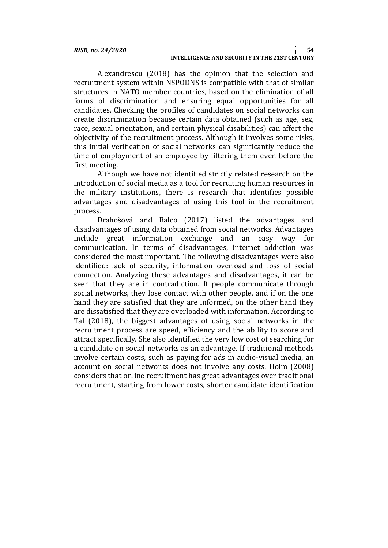#### **INTELLIGENCE AND SECURITY IN THE 21ST CENTURY**

Alexandrescu (2018) has the opinion that the selection and recruitment system within NSPODNS is compatible with that of similar structures in NATO member countries, based on the elimination of all forms of discrimination and ensuring equal opportunities for all candidates. Checking the profiles of candidates on social networks can create discrimination because certain data obtained (such as age, sex, race, sexual orientation, and certain physical disabilities) can affect the objectivity of the recruitment process. Although it involves some risks, this initial verification of social networks can significantly reduce the time of employment of an employee by filtering them even before the first meeting.

Although we have not identified strictly related research on the introduction of social media as a tool for recruiting human resources in the military institutions, there is research that identifies possible advantages and disadvantages of using this tool in the recruitment process.

Drahošová and Balco (2017) listed the advantages and disadvantages of using data obtained from social networks. Advantages include great information exchange and an easy way for communication. In terms of disadvantages, internet addiction was considered the most important. The following disadvantages were also identified: lack of security, information overload and loss of social connection. Analyzing these advantages and disadvantages, it can be seen that they are in contradiction. If people communicate through social networks, they lose contact with other people, and if on the one hand they are satisfied that they are informed, on the other hand they are dissatisfied that they are overloaded with information. According to Tal (2018), the biggest advantages of using social networks in the recruitment process are speed, efficiency and the ability to score and attract specifically. She also identified the very low cost of searching for a candidate on social networks as an advantage. If traditional methods involve certain costs, such as paying for ads in audio-visual media, an account on social networks does not involve any costs. Holm (2008) considers that online recruitment has great advantages over traditional recruitment, starting from lower costs, shorter candidate identification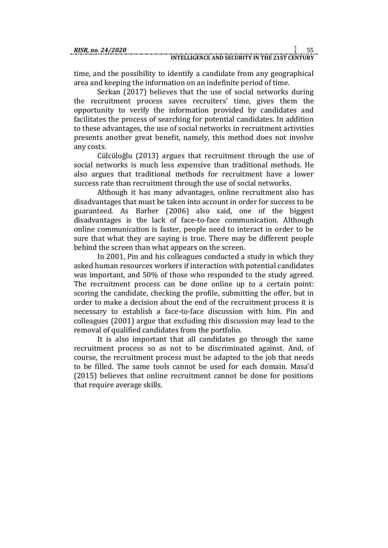time, and the possibility to identify a candidate from any geographical area and keeping the information on an indefinite period of time.

Serkan (2017) believes that the use of social networks during the recruitment process saves recruiters' time, gives them the opportunity to verify the information provided by candidates and facilitates the process of searching for potential candidates. In addition to these advantages, the use of social networks in recruitment activities presents another great benefit, namely, this method does not involve any costs.

Cülcüloğlu (2013) argues that recruitment through the use of social networks is much less expensive than traditional methods. He also argues that traditional methods for recruitment have a lower success rate than recruitment through the use of social networks.

Although it has many advantages, online recruitment also has disadvantages that must be taken into account in order for success to be guaranteed. As Barber (2006) also said, one of the biggest disadvantages is the lack of face-to-face communication. Although online communication is faster, people need to interact in order to be sure that what they are saying is true. There may be different people behind the screen than what appears on the screen.

In 2001, Pin and his colleagues conducted a study in which they asked human resources workers if interaction with potential candidates was important, and 50% of those who responded to the study agreed. The recruitment process can be done online up to a certain point: scoring the candidate, checking the profile, submitting the offer, but in order to make a decision about the end of the recruitment process it is necessary to establish a face-to-face discussion with him. Pin and colleagues (2001) argue that excluding this discussion may lead to the removal of qualified candidates from the portfolio.

It is also important that all candidates go through the same recruitment process so as not to be discriminated against. And, of course, the recruitment process must be adapted to the job that needs to be filled. The same tools cannot be used for each domain. Masa'd (2015) believes that online recruitment cannot be done for positions that require average skills.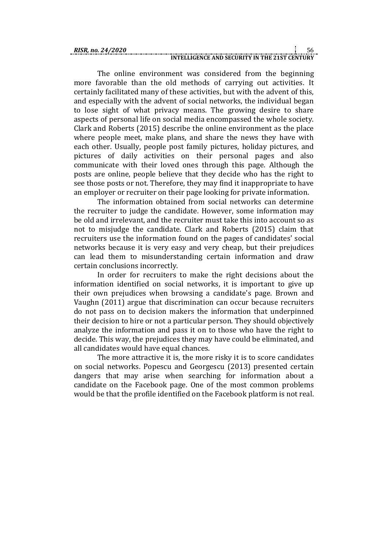#### **INTELLIGENCE AND SECURITY IN THE 21ST CENTURY**

The online environment was considered from the beginning more favorable than the old methods of carrying out activities. It certainly facilitated many of these activities, but with the advent of this, and especially with the advent of social networks, the individual began to lose sight of what privacy means. The growing desire to share aspects of personal life on social media encompassed the whole society. Clark and Roberts (2015) describe the online environment as the place where people meet, make plans, and share the news they have with each other. Usually, people post family pictures, holiday pictures, and pictures of daily activities on their personal pages and also communicate with their loved ones through this page. Although the posts are online, people believe that they decide who has the right to see those posts or not. Therefore, they may find it inappropriate to have an employer or recruiter on their page looking for private information.

The information obtained from social networks can determine the recruiter to judge the candidate. However, some information may be old and irrelevant, and the recruiter must take this into account so as not to misjudge the candidate. Clark and Roberts (2015) claim that recruiters use the information found on the pages of candidates' social networks because it is very easy and very cheap, but their prejudices can lead them to misunderstanding certain information and draw certain conclusions incorrectly.

In order for recruiters to make the right decisions about the information identified on social networks, it is important to give up their own prejudices when browsing a candidate's page. Brown and Vaughn (2011) argue that discrimination can occur because recruiters do not pass on to decision makers the information that underpinned their decision to hire or not a particular person. They should objectively analyze the information and pass it on to those who have the right to decide. This way, the prejudices they may have could be eliminated, and all candidates would have equal chances.

The more attractive it is, the more risky it is to score candidates on social networks. Popescu and Georgescu (2013) presented certain dangers that may arise when searching for information about a candidate on the Facebook page. One of the most common problems would be that the profile identified on the Facebook platform is not real.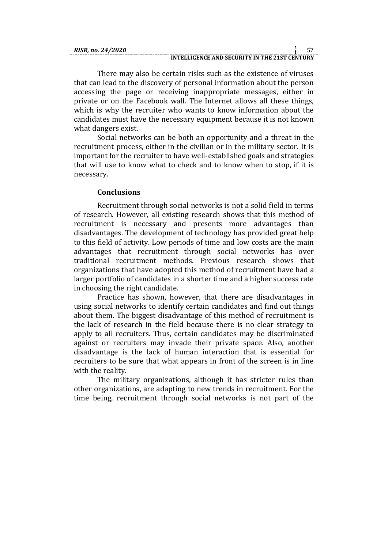| RISR. no. 24/2020 |                                               |  |  |
|-------------------|-----------------------------------------------|--|--|
|                   | INTELLIGENCE AND SECURITY IN THE 21ST CENTURY |  |  |

There may also be certain risks such as the existence of viruses that can lead to the discovery of personal information about the person accessing the page or receiving inappropriate messages, either in private or on the Facebook wall. The Internet allows all these things, which is why the recruiter who wants to know information about the candidates must have the necessary equipment because it is not known what dangers exist.

Social networks can be both an opportunity and a threat in the recruitment process, either in the civilian or in the military sector. It is important for the recruiter to have well-established goals and strategies that will use to know what to check and to know when to stop, if it is necessary.

# **Conclusions**

Recruitment through social networks is not a solid field in terms of research. However, all existing research shows that this method of recruitment is necessary and presents more advantages than disadvantages. The development of technology has provided great help to this field of activity. Low periods of time and low costs are the main advantages that recruitment through social networks has over traditional recruitment methods. Previous research shows that organizations that have adopted this method of recruitment have had a larger portfolio of candidates in a shorter time and a higher success rate in choosing the right candidate.

Practice has shown, however, that there are disadvantages in using social networks to identify certain candidates and find out things about them. The biggest disadvantage of this method of recruitment is the lack of research in the field because there is no clear strategy to apply to all recruiters. Thus, certain candidates may be discriminated against or recruiters may invade their private space. Also, another disadvantage is the lack of human interaction that is essential for recruiters to be sure that what appears in front of the screen is in line with the reality.

The military organizations, although it has stricter rules than other organizations, are adapting to new trends in recruitment. For the time being, recruitment through social networks is not part of the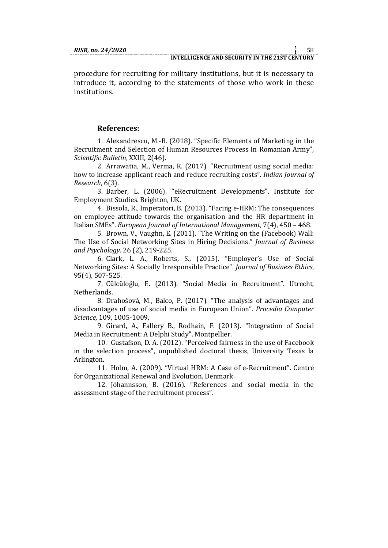procedure for recruiting for military institutions, but it is necessary to introduce it, according to the statements of those who work in these institutions.

# **References:**

1. Alexandrescu, M.-B. (2018). "Specific Elements of Marketing in the Recruitment and Selection of Human Resources Process In Romanian Army", *Scientific Bulletin*, XXIII, 2(46).

2. Arrawatia, M., Verma, R. (2017). "Recruitment using social media: how to increase applicant reach and reduce recruiting costs". *Indian Journal of Research*, 6(3).

3. Barber, L. (2006). "eRecruitment Developments". Institute for Employment Studies. Brighton, UK.

4. Bissola, R., Imperatori, B. (2013). "Facing e-HRM: The consequences on employee attitude towards the organisation and the HR department in Italian SMEs". *European Journal of International Management*, 7(4), 450 – 468.

5. Brown, V., Vaughn, E. (2011). "The Writing on the (Facebook) Wall: The Use of Social Networking Sites in Hiring Decisions." *Journal of Business and Psychology*. 26 (2), 219-225.

6. Clark, L. A., Roberts, S., (2015). "Employer's Use of Social Networking Sites: A Socially Irresponsible Practice". *Journal of Business Ethics*, 95(4), 507-525.

7. Cülcüloğlu, E. (2013). "Social Media in Recruitment". Utrecht, Netherlands.

8. Drahošová, M., Balco, P. (2017). "The analysis of advantages and disadvantages of use of social media in European Union". *Procedia Computer Science,* 109, 1005-1009.

9. Girard, A., Fallery B., Rodhain, F. (2013). "Integration of Social Media in Recruitment: A Delphi Study". Montpellier.

10. Gustafson, D. A. (2012). "Perceived fairness in the use of Facebook in the selection process", unpublished doctoral thesis, University Texas la Arlington.

11. Holm, A. (2009). "Virtual HRM: A Case of e-Recruitment". Centre for Organizational Renewal and Evolution. Denmark.

12. Jóhannsson, B. (2016). "References and social media in the assessment stage of the recruitment process".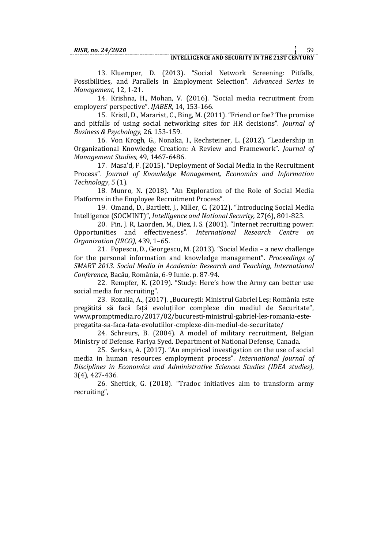#### **INTELLIGENCE AND SECURITY IN THE 21ST CENTURY**

13. Kluemper, D. (2013). "Social Network Screening: Pitfalls, Possibilities, and Parallels in Employment Selection". *Advanced Series in Management*, 12, 1-21.

14. Krishna, H., Mohan, V. (2016). "Social media recruitment from employers' perspective"*. IJABER*, 14, 153-166.

15. Kristl, D., Mararist, C., Bing, M. (2011). "Friend or foe? The promise and pitfalls of using social networking sites for HR decisions". *Journal of Business & Psychology*, 26. 153-159.

16. Von [Krogh,](https://onlinelibrary.wiley.com/action/doSearch?ContribAuthorStored=von+Krogh%2C+Georg) G., [Nonaka,](https://onlinelibrary.wiley.com/action/doSearch?ContribAuthorStored=Nonaka%2C+Ikujiro) I., [Rechsteiner,](https://onlinelibrary.wiley.com/action/doSearch?ContribAuthorStored=Rechsteiner%2C+Lise) L. (2012). "Leadership in Organizational Knowledge Creation: A Review and Framework". *Journal of Management Studies,* 49, 1467-6486.

17. Masa'd, F. (2015). "Deployment of Social Media in the Recruitment Process". *Journal of Knowledge Management, Economics and Information Technology*, 5 (1).

18. Munro, N. (2018). "An Exploration of the Role of Social Media Platforms in the Employee Recruitment Process".

19. Omand, D., Bartlett, J., Miller, C. (2012). "Introducing Social Media Intelligence (SOCMINT)", *Intelligence and National Security,* 27(6), 801-823.

20. Pin, J. R, Laorden, M., Diez, I. S. (2001). "Internet recruiting power: Opportunities and effectiveness". *International Research Centre on Organization (IRCO)*, 439, 1–65.

21. Popescu, D., Georgescu, M. (2013). "Social Media – a new challenge for the personal information and knowledge management". *Proceedings of SMART 2013. Social Media in Academia: Research and Teaching, International Conference*, Bacău, România, 6-9 Iunie. p. 87-94.

22. Rempfer, K. (2019). "Study: Here's how the Army can better use social media for recruiting".

23. Rozalia, A., (2017). "București: Ministrul Gabriel Leș: România este pregătită să facă față evoluțiilor complexe din mediul de Securitate", www.promptmedia.ro/2017/02/bucuresti-ministrul-gabriel-les-romania-estepregatita-sa-faca-fata-evolutiilor-cmplexe-din-mediul-de-securitate/

24. Schreurs, B. (2004). A model of military recruitment, Belgian Ministry of Defense. Fariya Syed. Department of National Defense, Canada.

25. Serkan, A. (2017). "An empirical investigation on the use of social media in human resources employment process". *International Journal of Disciplines in Economics and Administrative Sciences Studies (IDEA studies)*, 3(4), 427-436.

26. Sheftick, G. (2018). "Tradoc initiatives aim to transform army recruiting",